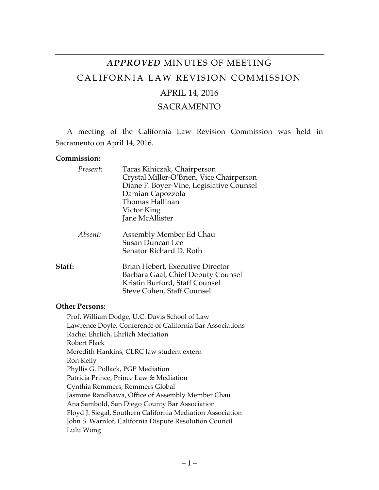# *APPROVED* MINUTES OF MEETING CALIFORNIA LAW REVISION COMMISSION

## APRIL 14, 2016

### SACRAMENTO

A meeting of the California Law Revision Commission was held in Sacramento on April 14, 2016.

#### **Commission:**

| Present: | Taras Kihiczak, Chairperson<br>Crystal Miller-O'Brien, Vice Chairperson<br>Diane F. Boyer-Vine, Legislative Counsel<br>Damian Capozzola<br>Thomas Hallinan<br>Victor King<br>Jane McAllister |
|----------|----------------------------------------------------------------------------------------------------------------------------------------------------------------------------------------------|
| Absent:  | Assembly Member Ed Chau<br><b>Susan Duncan Lee</b><br>Senator Richard D. Roth                                                                                                                |
| Staff:   | Brian Hebert, Executive Director<br>Barbara Gaal, Chief Deputy Counsel<br>Kristin Burford, Staff Counsel<br>Steve Cohen, Staff Counsel                                                       |

#### **Other Persons:**

Prof. William Dodge, U.C. Davis School of Law Lawrence Doyle, Conference of California Bar Associations Rachel Ehrlich, Ehrlich Mediation Robert Flack Meredith Hankins, CLRC law student extern Ron Kelly Phyllis G. Pollack, PGP Mediation Patricia Prince, Prince Law & Mediation Cynthia Remmers, Remmers Global Jasmine Randhawa, Office of Assembly Member Chau Ana Sambold, San Diego County Bar Association Floyd J. Siegal, Southern California Mediation Association John S. Warnlof, California Dispute Resolution Council Lulu Wong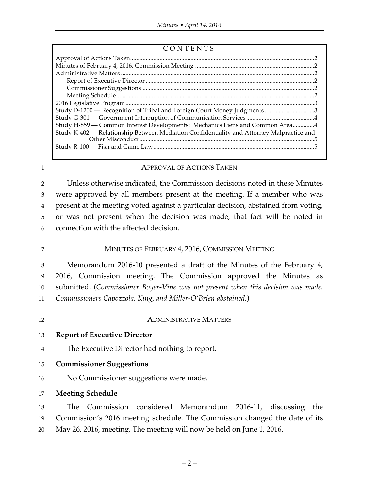| CONTENTS |
|----------|
|----------|

| Study D-1200 — Recognition of Tribal and Foreign Court Money Judgments 3                  |  |
|-------------------------------------------------------------------------------------------|--|
|                                                                                           |  |
| Study H-859 - Common Interest Developments: Mechanics Liens and Common Area4              |  |
| Study K-402 - Relationship Between Mediation Confidentiality and Attorney Malpractice and |  |
|                                                                                           |  |
|                                                                                           |  |
|                                                                                           |  |

#### 1 **APPROVAL OF ACTIONS TAKEN**

 Unless otherwise indicated, the Commission decisions noted in these Minutes were approved by all members present at the meeting. If a member who was present at the meeting voted against a particular decision, abstained from voting, or was not present when the decision was made, that fact will be noted in connection with the affected decision.

- 7 MINUTES OF FEBRUARY 4, 2016, COMMISSION MEETING 8 Memorandum 2016-10 presented a draft of the Minutes of the February 4, 9 2016, Commission meeting. The Commission approved the Minutes as 10 submitted. (*Commissioner Boyer-Vine was not present when this decision was made.* 11 *Commissioners Capozzola, King, and Miller-O'Brien abstained.*)
- 

#### 12 ADMINISTRATIVE MATTERS

13 **Report of Executive Director**

14 The Executive Director had nothing to report.

- 15 **Commissioner Suggestions**
- 16 No Commissioner suggestions were made.
- 17 **Meeting Schedule**

18 The Commission considered Memorandum 2016-11, discussing the 19 Commission's 2016 meeting schedule. The Commission changed the date of its 20 May 26, 2016, meeting. The meeting will now be held on June 1, 2016.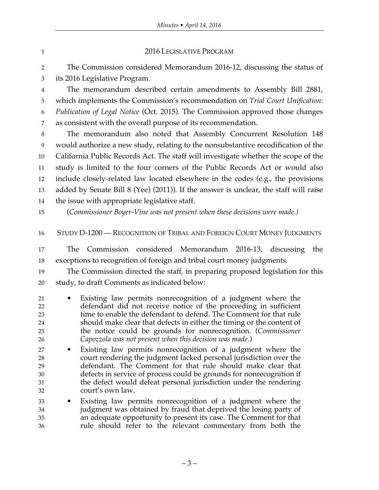| $\mathbf{1}$                     | 2016 LEGISLATIVE PROGRAM                                                                                                                                                                                                                                                                                                                                                                                               |
|----------------------------------|------------------------------------------------------------------------------------------------------------------------------------------------------------------------------------------------------------------------------------------------------------------------------------------------------------------------------------------------------------------------------------------------------------------------|
| $\overline{2}$                   | The Commission considered Memorandum 2016-12, discussing the status of                                                                                                                                                                                                                                                                                                                                                 |
| 3                                | its 2016 Legislative Program.                                                                                                                                                                                                                                                                                                                                                                                          |
| $\overline{4}$                   | The memorandum described certain amendments to Assembly Bill 2881,                                                                                                                                                                                                                                                                                                                                                     |
| 5                                | which implements the Commission's recommendation on Trial Court Unification:                                                                                                                                                                                                                                                                                                                                           |
| 6                                | Publication of Legal Notice (Oct. 2015). The Commission approved those changes                                                                                                                                                                                                                                                                                                                                         |
| 7                                | as consistent with the overall purpose of its recommendation.                                                                                                                                                                                                                                                                                                                                                          |
| 8                                | The memorandum also noted that Assembly Concurrent Resolution 148                                                                                                                                                                                                                                                                                                                                                      |
| 9                                | would authorize a new study, relating to the nonsubstantive recodification of the                                                                                                                                                                                                                                                                                                                                      |
| 10                               | California Public Records Act. The staff will investigate whether the scope of the                                                                                                                                                                                                                                                                                                                                     |
| 11                               | study is limited to the four corners of the Public Records Act or would also                                                                                                                                                                                                                                                                                                                                           |
| 12                               | include closely-related law located elsewhere in the codes (e.g., the provisions                                                                                                                                                                                                                                                                                                                                       |
| 13                               | added by Senate Bill 8 (Yee) (2011)). If the answer is unclear, the staff will raise                                                                                                                                                                                                                                                                                                                                   |
| 14                               | the issue with appropriate legislative staff.                                                                                                                                                                                                                                                                                                                                                                          |
| 15                               | (Commissioner Boyer-Vine was not present when these decisions were made.)                                                                                                                                                                                                                                                                                                                                              |
| 16                               | STUDY D-1200 — RECOGNITION OF TRIBAL AND FOREIGN COURT MONEY JUDGMENTS                                                                                                                                                                                                                                                                                                                                                 |
| 17                               | Commission considered Memorandum 2016-13, discussing<br>The<br>the                                                                                                                                                                                                                                                                                                                                                     |
| 18                               | exceptions to recognition of foreign and tribal court money judgments.                                                                                                                                                                                                                                                                                                                                                 |
| 19                               | The Commission directed the staff, in preparing proposed legislation for this                                                                                                                                                                                                                                                                                                                                          |
| 20                               | study, to draft Comments as indicated below:                                                                                                                                                                                                                                                                                                                                                                           |
| 21<br>22<br>23<br>24<br>25<br>26 | Existing law permits nonrecognition of a judgment where the<br>$\bullet$<br>defendant did not receive notice of the proceeding in sufficient<br>time to enable the defendant to defend. The Comment for that rule<br>should make clear that defects in either the timing or the content of<br>the notice could be grounds for nonrecognition. (Commissioner<br>Capozzola was not present when this decision was made.) |
| 27<br>28<br>29<br>30<br>31<br>32 | Existing law permits nonrecognition of a judgment where the<br>$\bullet$<br>court rendering the judgment lacked personal jurisdiction over the<br>defendant. The Comment for that rule should make clear that<br>defects in service of process could be grounds for nonrecognition if<br>the defect would defeat personal jurisdiction under the rendering<br>court's own law.                                         |
| 33<br>34<br>35<br>36             | Existing law permits nonrecognition of a judgment where the<br>$\bullet$<br>judgment was obtained by fraud that deprived the losing party of<br>an adequate opportunity to present its case. The Comment for that<br>rule should refer to the relevant commentary from both the                                                                                                                                        |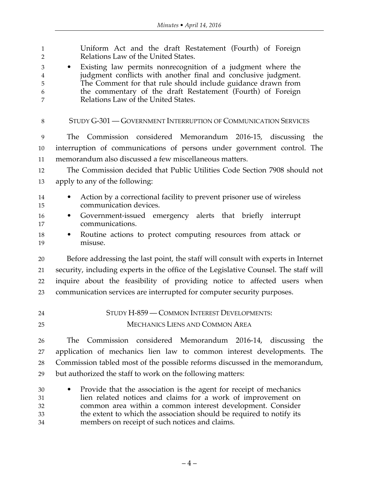| $\mathbf{1}$<br>$\overline{2}$<br>3<br>$\overline{\mathbf{4}}$<br>5<br>6<br>7 | Uniform Act and the draft Restatement (Fourth) of Foreign<br>Relations Law of the United States.<br>Existing law permits nonrecognition of a judgment where the<br>$\bullet$<br>judgment conflicts with another final and conclusive judgment.<br>The Comment for that rule should include guidance drawn from<br>the commentary of the draft Restatement (Fourth) of Foreign<br>Relations Law of the United States. |
|-------------------------------------------------------------------------------|----------------------------------------------------------------------------------------------------------------------------------------------------------------------------------------------------------------------------------------------------------------------------------------------------------------------------------------------------------------------------------------------------------------------|
| 8                                                                             | STUDY G-301 - GOVERNMENT INTERRUPTION OF COMMUNICATION SERVICES                                                                                                                                                                                                                                                                                                                                                      |
| 9                                                                             | The Commission considered Memorandum 2016-15, discussing<br>the                                                                                                                                                                                                                                                                                                                                                      |
| 10                                                                            | interruption of communications of persons under government control. The                                                                                                                                                                                                                                                                                                                                              |
| 11                                                                            | memorandum also discussed a few miscellaneous matters.                                                                                                                                                                                                                                                                                                                                                               |
| 12                                                                            | The Commission decided that Public Utilities Code Section 7908 should not                                                                                                                                                                                                                                                                                                                                            |
| 13                                                                            | apply to any of the following:                                                                                                                                                                                                                                                                                                                                                                                       |
| 14                                                                            | Action by a correctional facility to prevent prisoner use of wireless                                                                                                                                                                                                                                                                                                                                                |
| 15                                                                            | communication devices.                                                                                                                                                                                                                                                                                                                                                                                               |
| 16<br>17                                                                      | Government-issued emergency alerts that briefly interrupt<br>$\bullet$<br>communications.                                                                                                                                                                                                                                                                                                                            |
| 18                                                                            | Routine actions to protect computing resources from attack or<br>$\bullet$                                                                                                                                                                                                                                                                                                                                           |
| 19                                                                            | misuse.                                                                                                                                                                                                                                                                                                                                                                                                              |
| 20                                                                            | Before addressing the last point, the staff will consult with experts in Internet                                                                                                                                                                                                                                                                                                                                    |
| 21                                                                            | security, including experts in the office of the Legislative Counsel. The staff will                                                                                                                                                                                                                                                                                                                                 |
| 22                                                                            | inquire about the feasibility of providing notice to affected users when                                                                                                                                                                                                                                                                                                                                             |
| 23                                                                            | communication services are interrupted for computer security purposes.                                                                                                                                                                                                                                                                                                                                               |
| 24                                                                            | STUDY H-859 - COMMON INTEREST DEVELOPMENTS:                                                                                                                                                                                                                                                                                                                                                                          |
| 25                                                                            | <b>MECHANICS LIENS AND COMMON AREA</b>                                                                                                                                                                                                                                                                                                                                                                               |
| 26                                                                            | Commission considered Memorandum 2016-14, discussing<br>The<br>the                                                                                                                                                                                                                                                                                                                                                   |
| 27                                                                            | application of mechanics lien law to common interest developments. The                                                                                                                                                                                                                                                                                                                                               |
| 28                                                                            | Commission tabled most of the possible reforms discussed in the memorandum,                                                                                                                                                                                                                                                                                                                                          |
| 29                                                                            | but authorized the staff to work on the following matters:                                                                                                                                                                                                                                                                                                                                                           |
| 30                                                                            | Provide that the association is the agent for receipt of mechanics<br>٠                                                                                                                                                                                                                                                                                                                                              |
| 31                                                                            | lien related notices and claims for a work of improvement on                                                                                                                                                                                                                                                                                                                                                         |
| 32<br>33                                                                      | common area within a common interest development. Consider<br>the extent to which the association should be required to notify its                                                                                                                                                                                                                                                                                   |
| 34                                                                            | members on receipt of such notices and claims.                                                                                                                                                                                                                                                                                                                                                                       |
|                                                                               |                                                                                                                                                                                                                                                                                                                                                                                                                      |